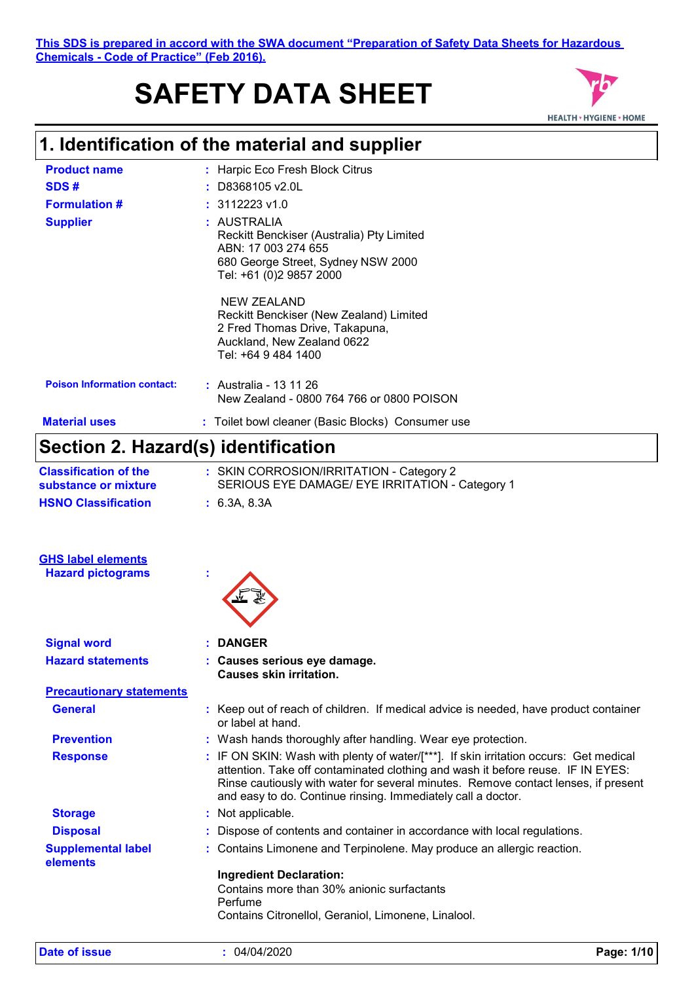# **SAFETY DATA SHEET**



# **1. Identification of the material and supplier**

| <b>Product name</b>                   | : Harpic Eco Fresh Block Citrus                                                                                                                                                                                                                                                                                              |
|---------------------------------------|------------------------------------------------------------------------------------------------------------------------------------------------------------------------------------------------------------------------------------------------------------------------------------------------------------------------------|
| SDS#                                  | D8368105 v2.0L                                                                                                                                                                                                                                                                                                               |
| <b>Formulation #</b>                  | 3112223 v1.0                                                                                                                                                                                                                                                                                                                 |
| <b>Supplier</b>                       | : AUSTRALIA<br>Reckitt Benckiser (Australia) Pty Limited<br>ABN: 17 003 274 655<br>680 George Street, Sydney NSW 2000<br>Tel: +61 (0)2 9857 2000                                                                                                                                                                             |
|                                       | <b>NEW ZEALAND</b><br>Reckitt Benckiser (New Zealand) Limited<br>2 Fred Thomas Drive, Takapuna,<br>Auckland, New Zealand 0622<br>Tel: +64 9 484 1400                                                                                                                                                                         |
| <b>Poison Information contact:</b>    | : Australia - 13 11 26<br>New Zealand - 0800 764 766 or 0800 POISON                                                                                                                                                                                                                                                          |
| <b>Material uses</b>                  | : Toilet bowl cleaner (Basic Blocks) Consumer use                                                                                                                                                                                                                                                                            |
|                                       | Section 2. Hazard(s) identification                                                                                                                                                                                                                                                                                          |
| <b>Classification of the</b>          | : SKIN CORROSION/IRRITATION - Category 2                                                                                                                                                                                                                                                                                     |
| substance or mixture                  | SERIOUS EYE DAMAGE/ EYE IRRITATION - Category 1                                                                                                                                                                                                                                                                              |
| <b>HSNO Classification</b>            | : 6.3A, 8.3A                                                                                                                                                                                                                                                                                                                 |
| <b>GHS label elements</b>             |                                                                                                                                                                                                                                                                                                                              |
| <b>Hazard pictograms</b>              |                                                                                                                                                                                                                                                                                                                              |
| <b>Signal word</b>                    | <b>DANGER</b>                                                                                                                                                                                                                                                                                                                |
| <b>Hazard statements</b>              | Causes serious eye damage.<br><b>Causes skin irritation.</b>                                                                                                                                                                                                                                                                 |
| <b>Precautionary statements</b>       |                                                                                                                                                                                                                                                                                                                              |
| <b>General</b>                        | : Keep out of reach of children. If medical advice is needed, have product container<br>or label at hand.                                                                                                                                                                                                                    |
| <b>Prevention</b>                     | : Wash hands thoroughly after handling. Wear eye protection.                                                                                                                                                                                                                                                                 |
| <b>Response</b>                       | IF ON SKIN: Wash with plenty of water/[***]. If skin irritation occurs: Get medical<br>attention. Take off contaminated clothing and wash it before reuse. IF IN EYES:<br>Rinse cautiously with water for several minutes. Remove contact lenses, if present<br>and easy to do. Continue rinsing. Immediately call a doctor. |
| <b>Storage</b>                        | : Not applicable.                                                                                                                                                                                                                                                                                                            |
| <b>Disposal</b>                       | Dispose of contents and container in accordance with local regulations.                                                                                                                                                                                                                                                      |
| <b>Supplemental label</b><br>elements | Contains Limonene and Terpinolene. May produce an allergic reaction.                                                                                                                                                                                                                                                         |
|                                       | <b>Ingredient Declaration:</b><br>Contains more than 30% anionic surfactants<br>Perfume                                                                                                                                                                                                                                      |
|                                       | Contains Citronellol, Geraniol, Limonene, Linalool.                                                                                                                                                                                                                                                                          |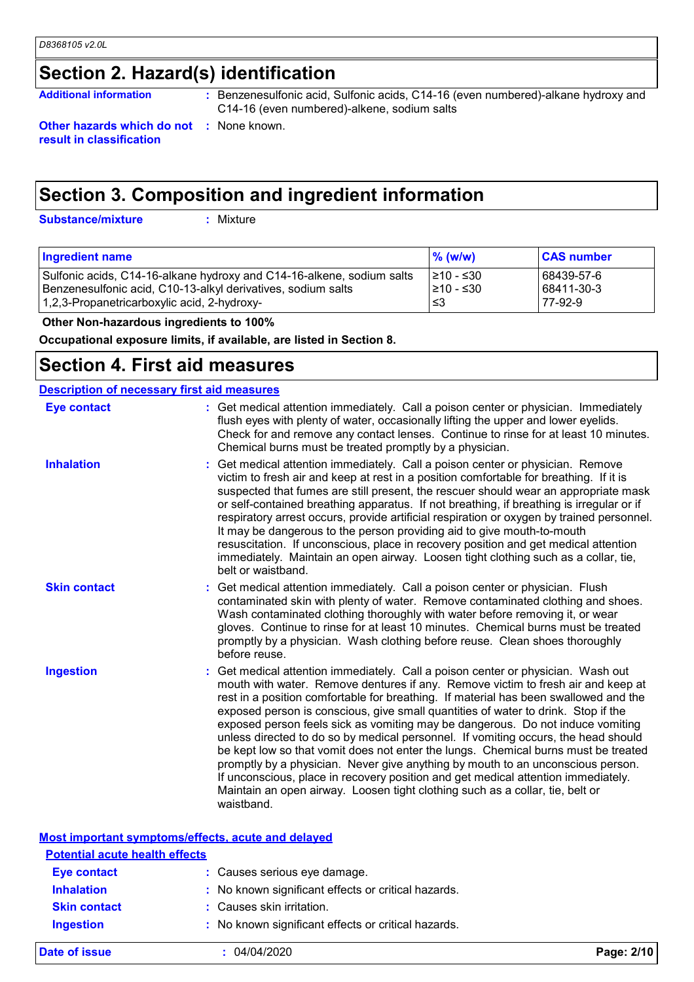# **Section 2. Hazard(s) identification**

Additional information **business**: Benzenesulfonic acid, Sulfonic acids, C14-16 (even numbered)-alkane hydroxy and C14-16 (even numbered)-alkene, sodium salts

**Other hazards which do not :** None known. **result in classification**

# **Section 3. Composition and ingredient information**

**Substance/mixture :**

: Mixture

| <b>Ingredient name</b>                                                | $\%$ (w/w) | <b>CAS number</b> |
|-----------------------------------------------------------------------|------------|-------------------|
| Sulfonic acids, C14-16-alkane hydroxy and C14-16-alkene, sodium salts | I≥10 - ≤30 | 68439-57-6        |
| Benzenesulfonic acid, C10-13-alkyl derivatives, sodium salts          | 1≥10 - ≤30 | 68411-30-3        |
| 1,2,3-Propanetricarboxylic acid, 2-hydroxy-                           | 3≥ ا       | 77-92-9           |

 **Other Non-hazardous ingredients to 100%**

**Occupational exposure limits, if available, are listed in Section 8.**

### **Section 4. First aid measures**

| <b>Description of necessary first aid measures</b> |                                                                                                                                                                                                                                                                                                                                                                                                                                                                                                                                                                                                                                                                                                                                                                                                                                                                                        |  |  |  |
|----------------------------------------------------|----------------------------------------------------------------------------------------------------------------------------------------------------------------------------------------------------------------------------------------------------------------------------------------------------------------------------------------------------------------------------------------------------------------------------------------------------------------------------------------------------------------------------------------------------------------------------------------------------------------------------------------------------------------------------------------------------------------------------------------------------------------------------------------------------------------------------------------------------------------------------------------|--|--|--|
| <b>Eye contact</b>                                 | : Get medical attention immediately. Call a poison center or physician. Immediately<br>flush eyes with plenty of water, occasionally lifting the upper and lower eyelids.<br>Check for and remove any contact lenses. Continue to rinse for at least 10 minutes.<br>Chemical burns must be treated promptly by a physician.                                                                                                                                                                                                                                                                                                                                                                                                                                                                                                                                                            |  |  |  |
| <b>Inhalation</b>                                  | Get medical attention immediately. Call a poison center or physician. Remove<br>victim to fresh air and keep at rest in a position comfortable for breathing. If it is<br>suspected that fumes are still present, the rescuer should wear an appropriate mask<br>or self-contained breathing apparatus. If not breathing, if breathing is irregular or if<br>respiratory arrest occurs, provide artificial respiration or oxygen by trained personnel.<br>It may be dangerous to the person providing aid to give mouth-to-mouth<br>resuscitation. If unconscious, place in recovery position and get medical attention<br>immediately. Maintain an open airway. Loosen tight clothing such as a collar, tie,<br>belt or waistband.                                                                                                                                                    |  |  |  |
| <b>Skin contact</b>                                | Get medical attention immediately. Call a poison center or physician. Flush<br>contaminated skin with plenty of water. Remove contaminated clothing and shoes.<br>Wash contaminated clothing thoroughly with water before removing it, or wear<br>gloves. Continue to rinse for at least 10 minutes. Chemical burns must be treated<br>promptly by a physician. Wash clothing before reuse. Clean shoes thoroughly<br>before reuse.                                                                                                                                                                                                                                                                                                                                                                                                                                                    |  |  |  |
| <b>Ingestion</b>                                   | : Get medical attention immediately. Call a poison center or physician. Wash out<br>mouth with water. Remove dentures if any. Remove victim to fresh air and keep at<br>rest in a position comfortable for breathing. If material has been swallowed and the<br>exposed person is conscious, give small quantities of water to drink. Stop if the<br>exposed person feels sick as vomiting may be dangerous. Do not induce vomiting<br>unless directed to do so by medical personnel. If vomiting occurs, the head should<br>be kept low so that vomit does not enter the lungs. Chemical burns must be treated<br>promptly by a physician. Never give anything by mouth to an unconscious person.<br>If unconscious, place in recovery position and get medical attention immediately.<br>Maintain an open airway. Loosen tight clothing such as a collar, tie, belt or<br>waistband. |  |  |  |

#### **Most important symptoms/effects, acute and delayed**

| <b>Potential acute health effects</b> |                                                     |            |
|---------------------------------------|-----------------------------------------------------|------------|
| <b>Eye contact</b>                    | : Causes serious eye damage.                        |            |
| <b>Inhalation</b>                     | : No known significant effects or critical hazards. |            |
| <b>Skin contact</b>                   | : Causes skin irritation.                           |            |
| <b>Ingestion</b>                      | : No known significant effects or critical hazards. |            |
| Date of issue                         | 04/04/2020                                          | Page: 2/10 |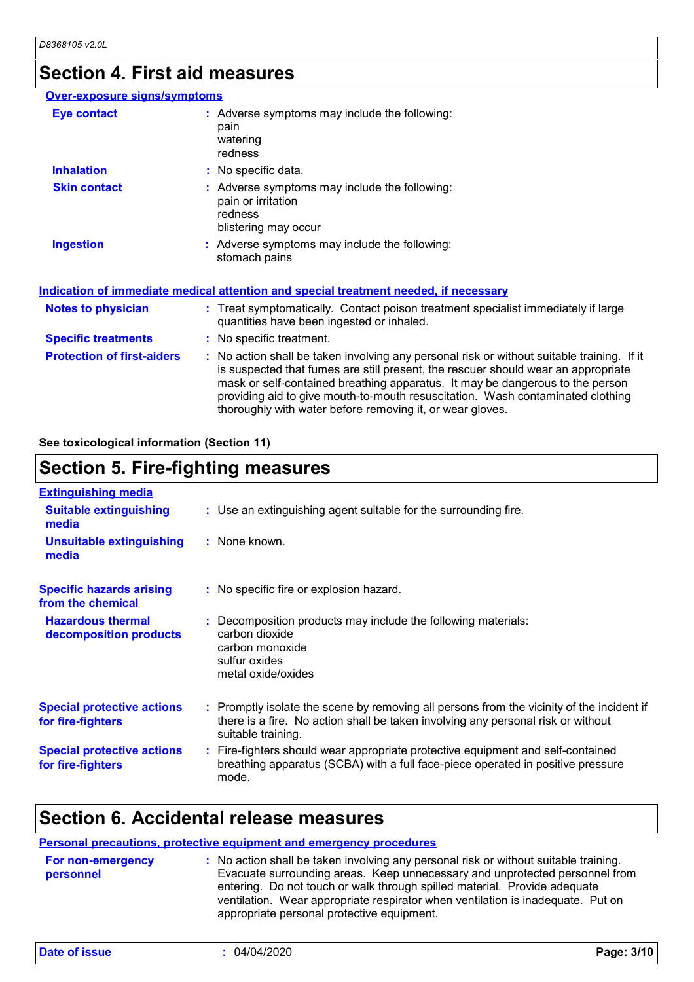### **Section 4. First aid measures**

#### **Protection of first-aiders :** No action shall be taken involving any personal risk or without suitable training. If it is suspected that fumes are still present, the rescuer should wear an appropriate mask or self-contained breathing apparatus. It may be dangerous to the person providing aid to give mouth-to-mouth resuscitation. Wash contaminated clothing thoroughly with water before removing it, or wear gloves. **Notes to physician <b>:** Treat symptomatically. Contact poison treatment specialist immediately if large quantities have been ingested or inhaled. **Specific treatments :** No specific treatment. **Over-exposure signs/symptoms Skin contact Ingestion Inhalation :** No specific data. Adverse symptoms may include the following: **:** stomach pains Adverse symptoms may include the following: **:** pain or irritation redness blistering may occur **Eye contact :** Adverse symptoms may include the following: pain watering redness **Indication of immediate medical attention and special treatment needed, if necessary**

#### **See toxicological information (Section 11)**

### **Section 5. Fire-fighting measures**

| <b>Extinguishing media</b>                             |                                                                                                                                                                                                     |
|--------------------------------------------------------|-----------------------------------------------------------------------------------------------------------------------------------------------------------------------------------------------------|
| <b>Suitable extinguishing</b><br>media                 | : Use an extinguishing agent suitable for the surrounding fire.                                                                                                                                     |
| <b>Unsuitable extinguishing</b><br>media               | : None known.                                                                                                                                                                                       |
| <b>Specific hazards arising</b><br>from the chemical   | : No specific fire or explosion hazard.                                                                                                                                                             |
| <b>Hazardous thermal</b><br>decomposition products     | : Decomposition products may include the following materials:<br>carbon dioxide<br>carbon monoxide<br>sulfur oxides<br>metal oxide/oxides                                                           |
| <b>Special protective actions</b><br>for fire-fighters | : Promptly isolate the scene by removing all persons from the vicinity of the incident if<br>there is a fire. No action shall be taken involving any personal risk or without<br>suitable training. |
| <b>Special protective actions</b><br>for fire-fighters | : Fire-fighters should wear appropriate protective equipment and self-contained<br>breathing apparatus (SCBA) with a full face-piece operated in positive pressure<br>mode.                         |

### **Section 6. Accidental release measures**

#### **Personal precautions, protective equipment and emergency procedures :** No action shall be taken involving any personal risk or without suitable training. Evacuate surrounding areas. Keep unnecessary and unprotected personnel from entering. Do not touch or walk through spilled material. Provide adequate ventilation. Wear appropriate respirator when ventilation is inadequate. Put on appropriate personal protective equipment. **For non-emergency personnel**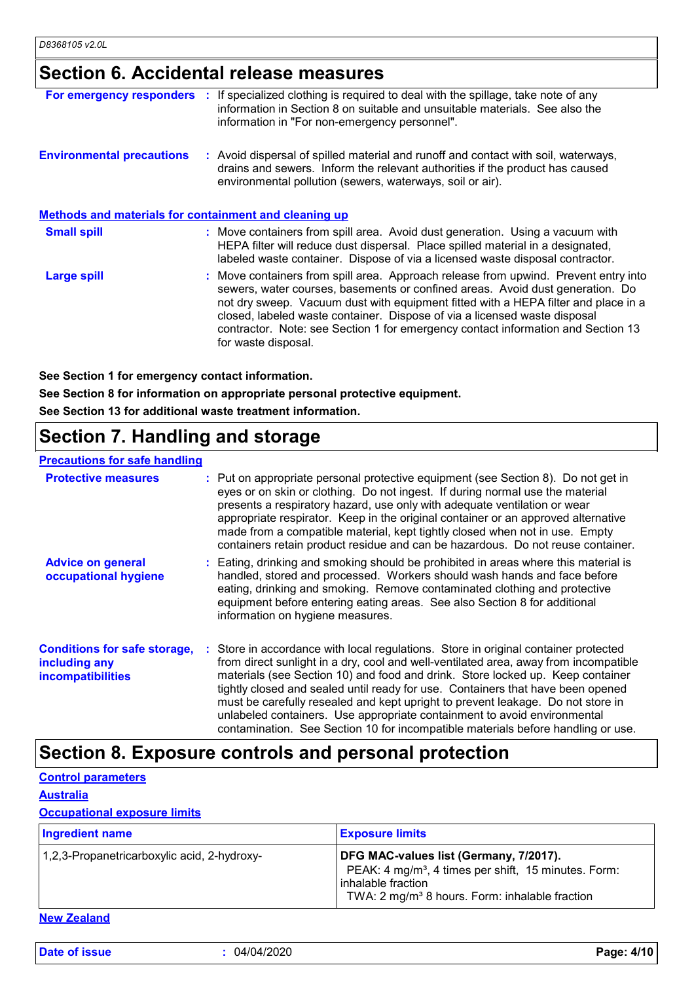# **Section 6. Accidental release measures**

| For emergency responders                                     | If specialized clothing is required to deal with the spillage, take note of any<br>information in Section 8 on suitable and unsuitable materials. See also the<br>information in "For non-emergency personnel".                                                                                                                                                                                                                                    |
|--------------------------------------------------------------|----------------------------------------------------------------------------------------------------------------------------------------------------------------------------------------------------------------------------------------------------------------------------------------------------------------------------------------------------------------------------------------------------------------------------------------------------|
| <b>Environmental precautions</b>                             | : Avoid dispersal of spilled material and runoff and contact with soil, waterways,<br>drains and sewers. Inform the relevant authorities if the product has caused<br>environmental pollution (sewers, waterways, soil or air).                                                                                                                                                                                                                    |
| <b>Methods and materials for containment and cleaning up</b> |                                                                                                                                                                                                                                                                                                                                                                                                                                                    |
| <b>Small spill</b>                                           | : Move containers from spill area. Avoid dust generation. Using a vacuum with<br>HEPA filter will reduce dust dispersal. Place spilled material in a designated,<br>labeled waste container. Dispose of via a licensed waste disposal contractor.                                                                                                                                                                                                  |
| Large spill                                                  | : Move containers from spill area. Approach release from upwind. Prevent entry into<br>sewers, water courses, basements or confined areas. Avoid dust generation. Do<br>not dry sweep. Vacuum dust with equipment fitted with a HEPA filter and place in a<br>closed, labeled waste container. Dispose of via a licensed waste disposal<br>contractor. Note: see Section 1 for emergency contact information and Section 13<br>for waste disposal. |

**See Section 1 for emergency contact information.**

**See Section 8 for information on appropriate personal protective equipment.**

**See Section 13 for additional waste treatment information.**

# **Section 7. Handling and storage**

#### **Precautions for safe handling**

| <b>Protective measures</b>                                                       | : Put on appropriate personal protective equipment (see Section 8). Do not get in<br>eyes or on skin or clothing. Do not ingest. If during normal use the material<br>presents a respiratory hazard, use only with adequate ventilation or wear<br>appropriate respirator. Keep in the original container or an approved alternative<br>made from a compatible material, kept tightly closed when not in use. Empty<br>containers retain product residue and can be hazardous. Do not reuse container.                                                                                              |
|----------------------------------------------------------------------------------|-----------------------------------------------------------------------------------------------------------------------------------------------------------------------------------------------------------------------------------------------------------------------------------------------------------------------------------------------------------------------------------------------------------------------------------------------------------------------------------------------------------------------------------------------------------------------------------------------------|
| <b>Advice on general</b><br>occupational hygiene                                 | : Eating, drinking and smoking should be prohibited in areas where this material is<br>handled, stored and processed. Workers should wash hands and face before<br>eating, drinking and smoking. Remove contaminated clothing and protective<br>equipment before entering eating areas. See also Section 8 for additional<br>information on hygiene measures.                                                                                                                                                                                                                                       |
| <b>Conditions for safe storage,</b><br>including any<br><b>incompatibilities</b> | : Store in accordance with local regulations. Store in original container protected<br>from direct sunlight in a dry, cool and well-ventilated area, away from incompatible<br>materials (see Section 10) and food and drink. Store locked up. Keep container<br>tightly closed and sealed until ready for use. Containers that have been opened<br>must be carefully resealed and kept upright to prevent leakage. Do not store in<br>unlabeled containers. Use appropriate containment to avoid environmental<br>contamination. See Section 10 for incompatible materials before handling or use. |

### **Section 8. Exposure controls and personal protection**

**Control parameters**

**Australia**

#### **Occupational exposure limits**

| <b>Ingredient name</b>                      | <b>Exposure limits</b>                                                                                                                                                                         |
|---------------------------------------------|------------------------------------------------------------------------------------------------------------------------------------------------------------------------------------------------|
| 1,2,3-Propanetricarboxylic acid, 2-hydroxy- | DFG MAC-values list (Germany, 7/2017).<br>PEAK: 4 mg/m <sup>3</sup> , 4 times per shift, 15 minutes. Form:<br>inhalable fraction<br>TWA: 2 mg/m <sup>3</sup> 8 hours. Form: inhalable fraction |

**New Zealand**

**Date of issue :** 04/04/2020 **Page: 4/10**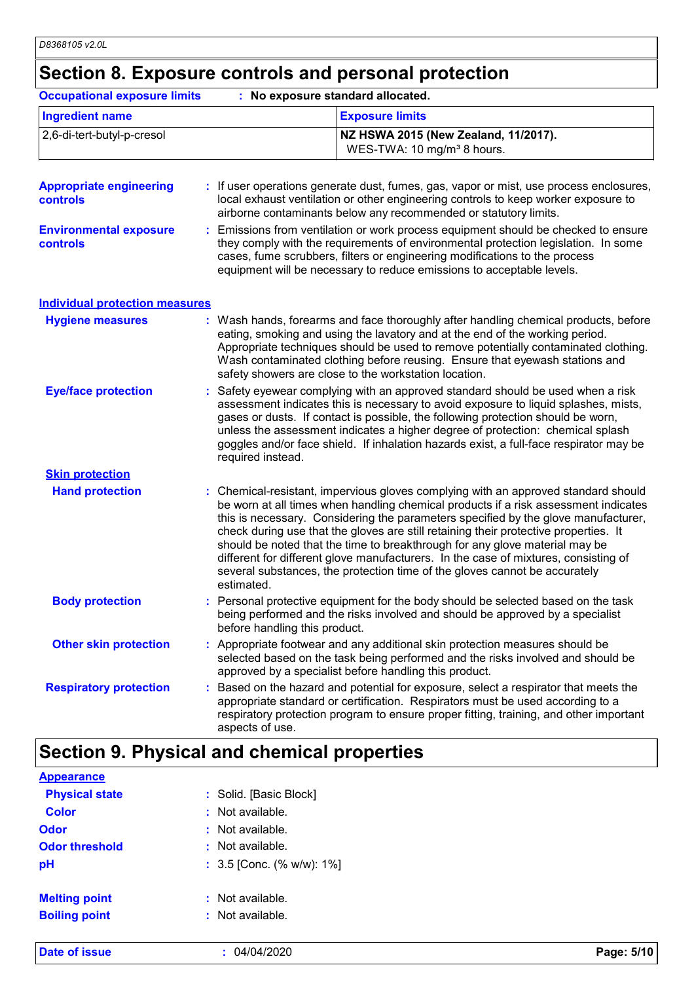# **Section 8. Exposure controls and personal protection**

| <b>Occupational exposure limits</b>        | : No exposure standard allocated.                                                                                                                                                                                                                                                                                                                                                                                                                                                                                                                                                                                         |  |  |
|--------------------------------------------|---------------------------------------------------------------------------------------------------------------------------------------------------------------------------------------------------------------------------------------------------------------------------------------------------------------------------------------------------------------------------------------------------------------------------------------------------------------------------------------------------------------------------------------------------------------------------------------------------------------------------|--|--|
| <b>Ingredient name</b>                     | <b>Exposure limits</b>                                                                                                                                                                                                                                                                                                                                                                                                                                                                                                                                                                                                    |  |  |
| 2,6-di-tert-butyl-p-cresol                 | NZ HSWA 2015 (New Zealand, 11/2017).<br>WES-TWA: 10 mg/m <sup>3</sup> 8 hours.                                                                                                                                                                                                                                                                                                                                                                                                                                                                                                                                            |  |  |
| <b>Appropriate engineering</b><br>controls | : If user operations generate dust, fumes, gas, vapor or mist, use process enclosures,<br>local exhaust ventilation or other engineering controls to keep worker exposure to<br>airborne contaminants below any recommended or statutory limits.                                                                                                                                                                                                                                                                                                                                                                          |  |  |
| <b>Environmental exposure</b><br>controls  | : Emissions from ventilation or work process equipment should be checked to ensure<br>they comply with the requirements of environmental protection legislation. In some<br>cases, fume scrubbers, filters or engineering modifications to the process<br>equipment will be necessary to reduce emissions to acceptable levels.                                                                                                                                                                                                                                                                                           |  |  |
| <b>Individual protection measures</b>      |                                                                                                                                                                                                                                                                                                                                                                                                                                                                                                                                                                                                                           |  |  |
| <b>Hygiene measures</b>                    | : Wash hands, forearms and face thoroughly after handling chemical products, before<br>eating, smoking and using the lavatory and at the end of the working period.<br>Appropriate techniques should be used to remove potentially contaminated clothing.<br>Wash contaminated clothing before reusing. Ensure that eyewash stations and<br>safety showers are close to the workstation location.                                                                                                                                                                                                                         |  |  |
| <b>Eye/face protection</b>                 | Safety eyewear complying with an approved standard should be used when a risk<br>assessment indicates this is necessary to avoid exposure to liquid splashes, mists,<br>gases or dusts. If contact is possible, the following protection should be worn,<br>unless the assessment indicates a higher degree of protection: chemical splash<br>goggles and/or face shield. If inhalation hazards exist, a full-face respirator may be<br>required instead.                                                                                                                                                                 |  |  |
| <b>Skin protection</b>                     |                                                                                                                                                                                                                                                                                                                                                                                                                                                                                                                                                                                                                           |  |  |
| <b>Hand protection</b>                     | : Chemical-resistant, impervious gloves complying with an approved standard should<br>be worn at all times when handling chemical products if a risk assessment indicates<br>this is necessary. Considering the parameters specified by the glove manufacturer,<br>check during use that the gloves are still retaining their protective properties. It<br>should be noted that the time to breakthrough for any glove material may be<br>different for different glove manufacturers. In the case of mixtures, consisting of<br>several substances, the protection time of the gloves cannot be accurately<br>estimated. |  |  |
| <b>Body protection</b>                     | : Personal protective equipment for the body should be selected based on the task<br>being performed and the risks involved and should be approved by a specialist<br>before handling this product.                                                                                                                                                                                                                                                                                                                                                                                                                       |  |  |
| <b>Other skin protection</b>               | : Appropriate footwear and any additional skin protection measures should be<br>selected based on the task being performed and the risks involved and should be<br>approved by a specialist before handling this product.                                                                                                                                                                                                                                                                                                                                                                                                 |  |  |
| <b>Respiratory protection</b>              | Based on the hazard and potential for exposure, select a respirator that meets the<br>appropriate standard or certification. Respirators must be used according to a<br>respiratory protection program to ensure proper fitting, training, and other important<br>aspects of use.                                                                                                                                                                                                                                                                                                                                         |  |  |

# **Section 9. Physical and chemical properties**

| <b>Date of issue</b>  | : 04/04/2020                    | Page: 5/10 |
|-----------------------|---------------------------------|------------|
|                       |                                 |            |
| <b>Boiling point</b>  | : Not available.                |            |
| <b>Melting point</b>  | $:$ Not available.              |            |
| pH                    | : $3.5$ [Conc. (% w/w): $1\%$ ] |            |
| <b>Odor threshold</b> | $:$ Not available.              |            |
| <b>Odor</b>           | $:$ Not available.              |            |
| <b>Color</b>          | : Not available.                |            |
| <b>Physical state</b> | : Solid. [Basic Block]          |            |
| <b>Appearance</b>     |                                 |            |
|                       |                                 |            |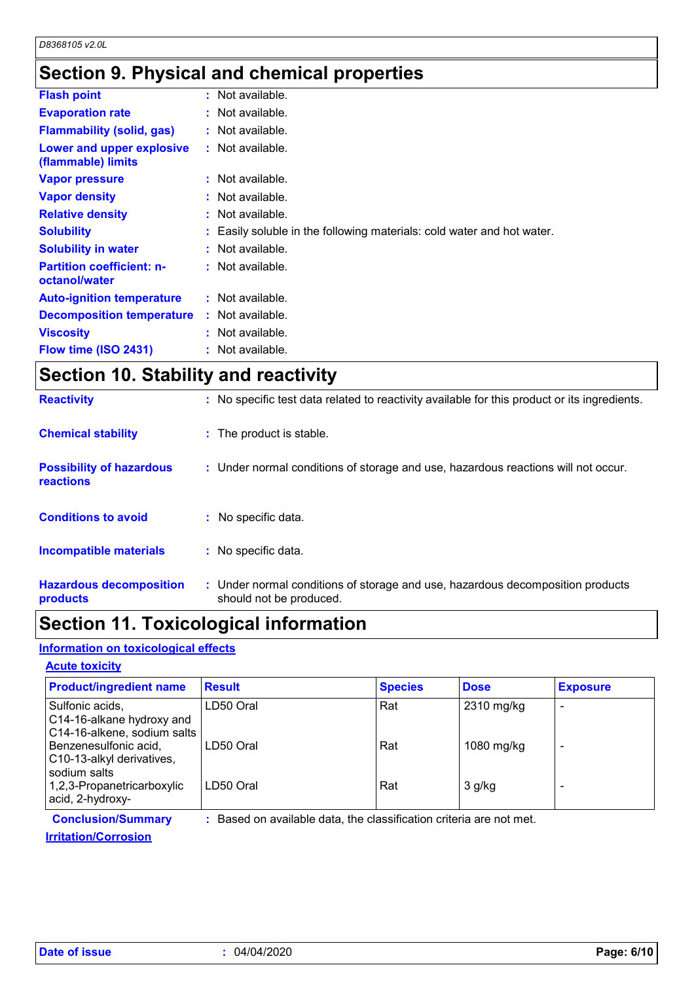# **Section 9. Physical and chemical properties**

| <b>Flash point</b>                                | $:$ Not available.                                                     |
|---------------------------------------------------|------------------------------------------------------------------------|
| <b>Evaporation rate</b>                           | $:$ Not available.                                                     |
| <b>Flammability (solid, gas)</b>                  | $:$ Not available.                                                     |
| Lower and upper explosive<br>(flammable) limits   | $:$ Not available.                                                     |
| <b>Vapor pressure</b>                             | $:$ Not available.                                                     |
| <b>Vapor density</b>                              | $:$ Not available.                                                     |
| <b>Relative density</b>                           | $:$ Not available.                                                     |
| <b>Solubility</b>                                 | : Easily soluble in the following materials: cold water and hot water. |
| <b>Solubility in water</b>                        | $:$ Not available.                                                     |
| <b>Partition coefficient: n-</b><br>octanol/water | : Not available.                                                       |
| <b>Auto-ignition temperature</b>                  | $:$ Not available.                                                     |
| <b>Decomposition temperature</b>                  | $:$ Not available.                                                     |
| <b>Viscosity</b>                                  | $:$ Not available.                                                     |
| Flow time (ISO 2431)                              | $:$ Not available.                                                     |

# **Section 10. Stability and reactivity**

| <b>Reactivity</b>                                   | : No specific test data related to reactivity available for this product or its ingredients.              |
|-----------------------------------------------------|-----------------------------------------------------------------------------------------------------------|
| <b>Chemical stability</b>                           | : The product is stable.                                                                                  |
| <b>Possibility of hazardous</b><br><b>reactions</b> | : Under normal conditions of storage and use, hazardous reactions will not occur.                         |
| <b>Conditions to avoid</b>                          | No specific data.                                                                                         |
| <b>Incompatible materials</b>                       | : No specific data.                                                                                       |
| <b>Hazardous decomposition</b><br>products          | : Under normal conditions of storage and use, hazardous decomposition products<br>should not be produced. |

### **Section 11. Toxicological information**

#### **Information on toxicological effects**

#### **Acute toxicity**

| <b>Product/ingredient name</b>                                              | <b>Result</b> | <b>Species</b> | <b>Dose</b> | <b>Exposure</b> |
|-----------------------------------------------------------------------------|---------------|----------------|-------------|-----------------|
| Sulfonic acids,<br>C14-16-alkane hydroxy and<br>C14-16-alkene, sodium salts | LD50 Oral     | Rat            | 2310 mg/kg  |                 |
| Benzenesulfonic acid,<br>C10-13-alkyl derivatives,<br>sodium salts          | LD50 Oral     | Rat            | 1080 mg/kg  |                 |
| 1,2,3-Propanetricarboxylic<br>acid, 2-hydroxy-                              | LD50 Oral     | Rat            | $3$ g/kg    |                 |

**Conclusion/Summary :** Based on available data, the classification criteria are not met.

**Irritation/Corrosion**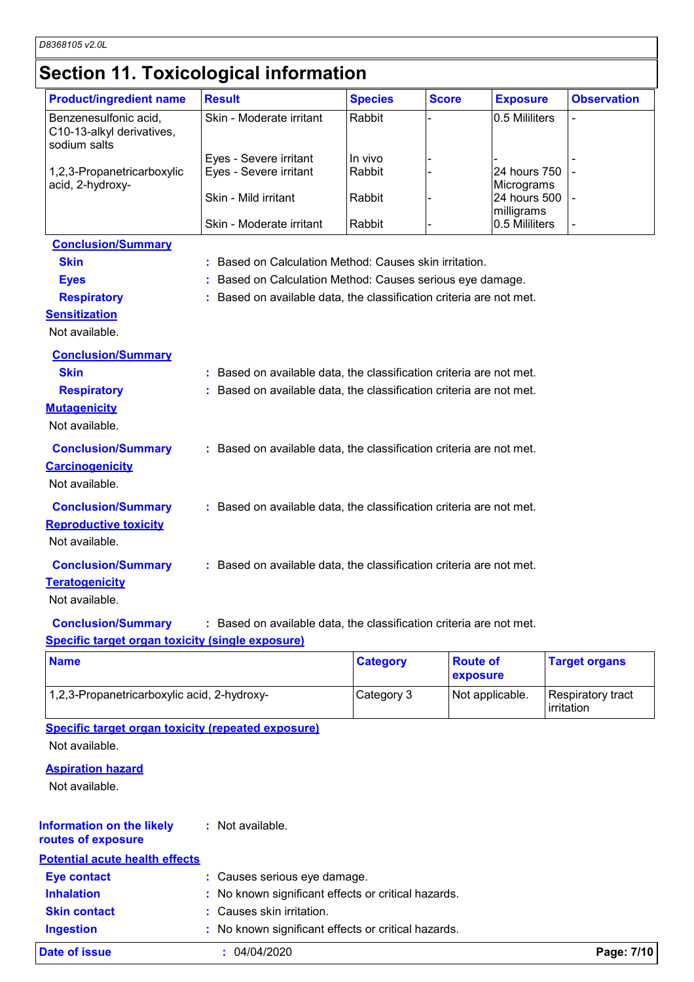# **Section 11. Toxicological information**

| <b>Product/ingredient name</b>                                              | <b>Result</b>                                                       | <b>Species</b> | <b>Score</b> | <b>Exposure</b>            | <b>Observation</b> |
|-----------------------------------------------------------------------------|---------------------------------------------------------------------|----------------|--------------|----------------------------|--------------------|
| Benzenesulfonic acid,<br>C10-13-alkyl derivatives,<br>sodium salts          | Skin - Moderate irritant                                            | Rabbit         |              | 0.5 Mililiters             |                    |
|                                                                             | Eyes - Severe irritant                                              | In vivo        |              |                            |                    |
| 1,2,3-Propanetricarboxylic<br>acid, 2-hydroxy-                              | Eyes - Severe irritant                                              | Rabbit         |              | 24 hours 750<br>Micrograms |                    |
|                                                                             | Skin - Mild irritant                                                | Rabbit         |              | 24 hours 500<br>milligrams |                    |
|                                                                             | Skin - Moderate irritant                                            | Rabbit         |              | 0.5 Mililiters             |                    |
| <b>Conclusion/Summary</b>                                                   |                                                                     |                |              |                            |                    |
| <b>Skin</b>                                                                 | Based on Calculation Method: Causes skin irritation.                |                |              |                            |                    |
| <b>Eyes</b>                                                                 | : Based on Calculation Method: Causes serious eye damage.           |                |              |                            |                    |
| <b>Respiratory</b>                                                          | Based on available data, the classification criteria are not met.   |                |              |                            |                    |
| <b>Sensitization</b>                                                        |                                                                     |                |              |                            |                    |
| Not available.                                                              |                                                                     |                |              |                            |                    |
| <b>Conclusion/Summary</b>                                                   |                                                                     |                |              |                            |                    |
| <b>Skin</b>                                                                 | : Based on available data, the classification criteria are not met. |                |              |                            |                    |
| <b>Respiratory</b>                                                          | : Based on available data, the classification criteria are not met. |                |              |                            |                    |
| <b>Mutagenicity</b>                                                         |                                                                     |                |              |                            |                    |
| Not available.                                                              |                                                                     |                |              |                            |                    |
| <b>Conclusion/Summary</b><br><b>Carcinogenicity</b><br>Not available.       | : Based on available data, the classification criteria are not met. |                |              |                            |                    |
| <b>Conclusion/Summary</b><br><b>Reproductive toxicity</b><br>Not available. | : Based on available data, the classification criteria are not met. |                |              |                            |                    |
| <b>Conclusion/Summary</b>                                                   | : Based on available data, the classification criteria are not met. |                |              |                            |                    |
| <b>Teratogenicity</b><br>Not available.                                     |                                                                     |                |              |                            |                    |
| <b>Conclusion/Summary</b>                                                   | : Based on available data, the classification criteria are not met. |                |              |                            |                    |
| <b>Specific target organ toxicity (single exposure)</b>                     |                                                                     |                |              |                            |                    |

| <b>Name</b>                                 | <b>Category</b> | <b>Route of</b><br>exposure | <b>Target organs</b>            |
|---------------------------------------------|-----------------|-----------------------------|---------------------------------|
| 1,2,3-Propanetricarboxylic acid, 2-hydroxy- | Category 3      | Not applicable.             | Respiratory tract<br>irritation |

**Specific target organ toxicity (repeated exposure)** Not available.

#### **Aspiration hazard**

Not available.

| <b>Information on the likely</b><br>routes of exposure | : Not available.                                    |            |
|--------------------------------------------------------|-----------------------------------------------------|------------|
| <b>Potential acute health effects</b>                  |                                                     |            |
| <b>Eye contact</b>                                     | : Causes serious eye damage.                        |            |
| <b>Inhalation</b>                                      | : No known significant effects or critical hazards. |            |
| <b>Skin contact</b>                                    | : Causes skin irritation.                           |            |
| <b>Ingestion</b>                                       | : No known significant effects or critical hazards. |            |
| Date of issue                                          | : 04/04/2020                                        | Page: 7/10 |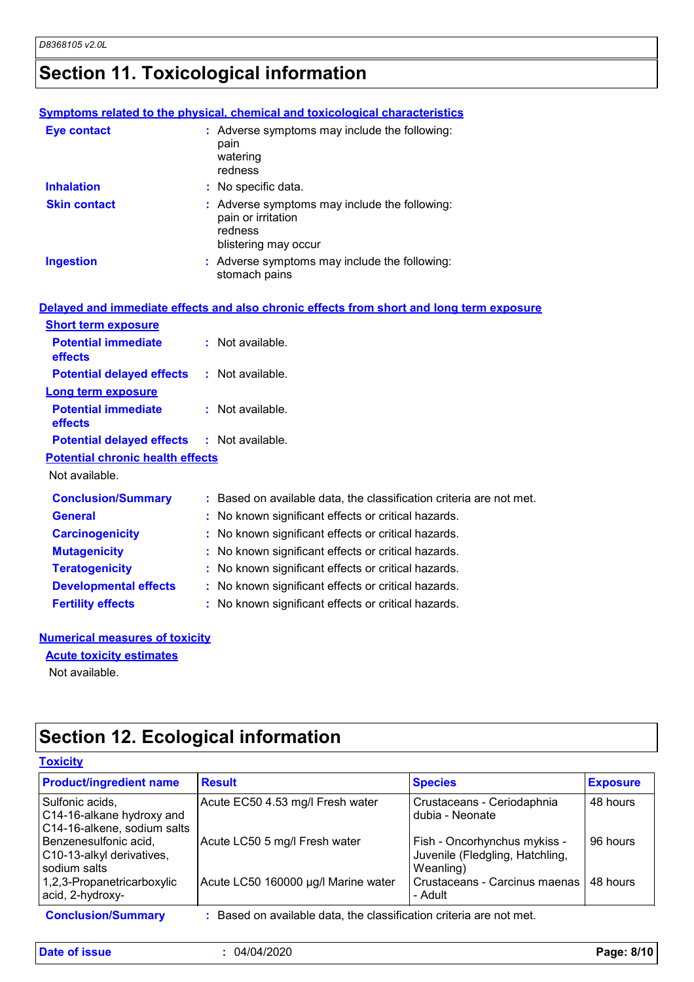# **Section 11. Toxicological information**

|                            | <b>Symptoms related to the physical, chemical and toxicological characteristics</b>                    |
|----------------------------|--------------------------------------------------------------------------------------------------------|
| <b>Eye contact</b>         | : Adverse symptoms may include the following:<br>pain<br>watering<br>redness                           |
| <b>Inhalation</b>          | : No specific data.                                                                                    |
| <b>Skin contact</b>        | : Adverse symptoms may include the following:<br>pain or irritation<br>redness<br>blistering may occur |
| <b>Ingestion</b>           | : Adverse symptoms may include the following:<br>stomach pains                                         |
|                            | Delayed and immediate effects and also chronic effects from short and long term exposure               |
| <b>Short term exposure</b> |                                                                                                        |
| <b>Potential immediate</b> | : Not available.                                                                                       |

| <b>Short term exposure</b>                        |                                                                     |
|---------------------------------------------------|---------------------------------------------------------------------|
| <b>Potential immediate</b><br><b>effects</b>      | $:$ Not available.                                                  |
| <b>Potential delayed effects</b>                  | $:$ Not available.                                                  |
| <b>Long term exposure</b>                         |                                                                     |
| <b>Potential immediate</b><br><b>effects</b>      | $:$ Not available.                                                  |
| <b>Potential delayed effects : Not available.</b> |                                                                     |
| <b>Potential chronic health effects</b>           |                                                                     |
| Not available.                                    |                                                                     |
| <b>Conclusion/Summary</b>                         | : Based on available data, the classification criteria are not met. |
| <b>General</b>                                    | : No known significant effects or critical hazards.                 |
| <b>Carcinogenicity</b>                            | : No known significant effects or critical hazards.                 |
| <b>Mutagenicity</b>                               | : No known significant effects or critical hazards.                 |
| <b>Teratogenicity</b>                             | : No known significant effects or critical hazards.                 |
| <b>Developmental effects</b>                      | : No known significant effects or critical hazards.                 |
| <b>Fertility effects</b>                          | : No known significant effects or critical hazards.                 |

#### **Numerical measures of toxicity**

#### **Acute toxicity estimates**

Not available.

# **Section 12. Ecological information**

#### **Toxicity**

| <b>Product/ingredient name</b>                                              | <b>Result</b>                                                     | <b>Species</b>                                                               | <b>Exposure</b> |
|-----------------------------------------------------------------------------|-------------------------------------------------------------------|------------------------------------------------------------------------------|-----------------|
| Sulfonic acids,<br>C14-16-alkane hydroxy and<br>C14-16-alkene, sodium salts | Acute EC50 4.53 mg/l Fresh water                                  | Crustaceans - Ceriodaphnia<br>dubia - Neonate                                | 48 hours        |
| Benzenesulfonic acid,<br>C10-13-alkyl derivatives,<br>sodium salts          | Acute LC50 5 mg/l Fresh water                                     | Fish - Oncorhynchus mykiss -<br>Juvenile (Fledgling, Hatchling,<br>Weanling) | 96 hours        |
| 1,2,3-Propanetricarboxylic<br>acid, 2-hydroxy-                              | Acute LC50 160000 µg/l Marine water                               | Crustaceans - Carcinus maenas<br>- Adult                                     | 48 hours        |
| <b>Conclusion/Summary</b>                                                   | Based on available data, the classification criteria are not met. |                                                                              |                 |

**Date of issue :** 04/04/2020 **Page: 8/10**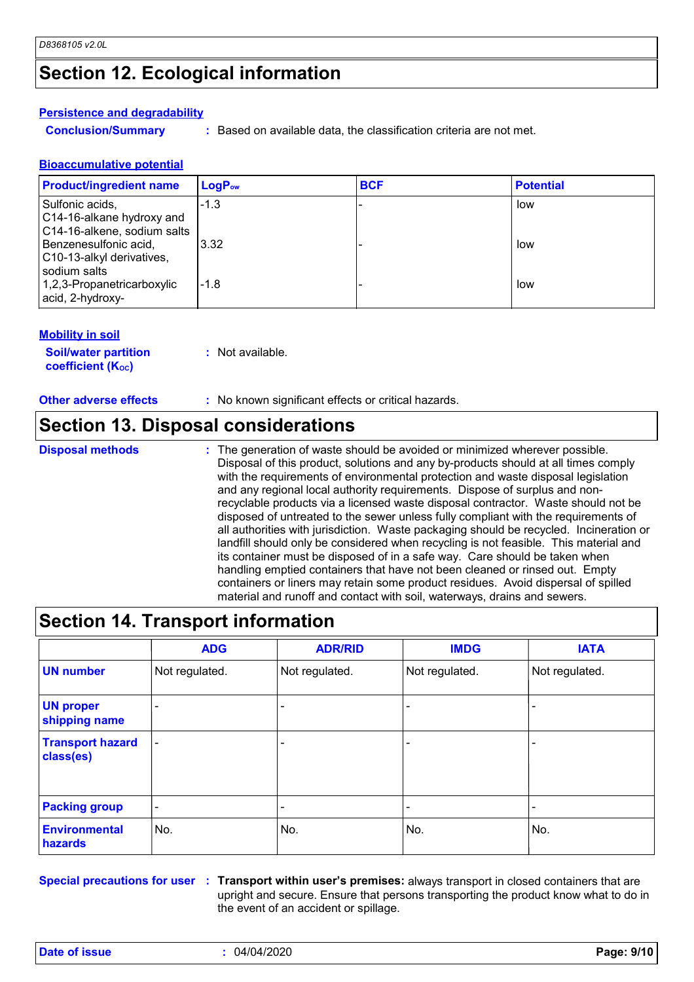### **Section 12. Ecological information**

#### **Persistence and degradability**

**Conclusion/Summary :** Based on available data, the classification criteria are not met.

#### **Bioaccumulative potential**

| <b>Product/ingredient name</b>                                              | $LogP_{ow}$ | <b>BCF</b> | <b>Potential</b> |
|-----------------------------------------------------------------------------|-------------|------------|------------------|
| Sulfonic acids,<br>C14-16-alkane hydroxy and<br>C14-16-alkene, sodium salts | $-1.3$      |            | low              |
| Benzenesulfonic acid,<br>C10-13-alkyl derivatives,<br>sodium salts          | 3.32        |            | low              |
| 1,2,3-Propanetricarboxylic<br>acid, 2-hydroxy-                              | $-1.8$      |            | low              |

#### **Mobility in soil**

**Soil/water partition coefficient (Koc)** 

**:** Not available.

**Other adverse effects :** No known significant effects or critical hazards.

### **Section 13. Disposal considerations**

**Disposal methods :**

The generation of waste should be avoided or minimized wherever possible. Disposal of this product, solutions and any by-products should at all times comply with the requirements of environmental protection and waste disposal legislation and any regional local authority requirements. Dispose of surplus and nonrecyclable products via a licensed waste disposal contractor. Waste should not be disposed of untreated to the sewer unless fully compliant with the requirements of all authorities with jurisdiction. Waste packaging should be recycled. Incineration or landfill should only be considered when recycling is not feasible. This material and its container must be disposed of in a safe way. Care should be taken when handling emptied containers that have not been cleaned or rinsed out. Empty containers or liners may retain some product residues. Avoid dispersal of spilled material and runoff and contact with soil, waterways, drains and sewers.

### **Section 14. Transport information**

|                                      | <b>ADG</b>               | <b>ADR/RID</b> | <b>IMDG</b>    | <b>IATA</b>    |
|--------------------------------------|--------------------------|----------------|----------------|----------------|
| <b>UN number</b>                     | Not regulated.           | Not regulated. | Not regulated. | Not regulated. |
| <b>UN proper</b><br>shipping name    | $\overline{\phantom{0}}$ | ۰              |                |                |
| <b>Transport hazard</b><br>class(es) | $\overline{\phantom{a}}$ |                |                |                |
| <b>Packing group</b>                 | $\overline{\phantom{a}}$ | ۰              |                |                |
| <b>Environmental</b><br>hazards      | No.                      | No.            | No.            | No.            |

**Special precautions for user Transport within user's premises:** always transport in closed containers that are **:** upright and secure. Ensure that persons transporting the product know what to do in the event of an accident or spillage.

**Date of issue :** 04/04/2020 **Page: 9/10**